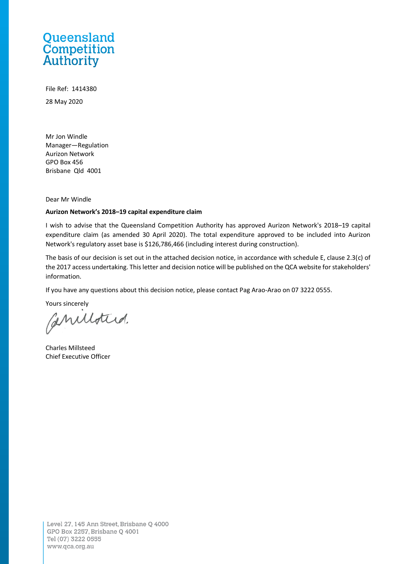# Queensland **Competition**<br>Authority

File Ref: 1414380 28 May 2020

Mr Jon Windle Manager—Regulation Aurizon Network GPO Box 456 Brisbane Qld 4001

Dear Mr Windle

#### **Aurizon Network's 2018–19 capital expenditure claim**

I wish to advise that the Queensland Competition Authority has approved Aurizon Network's 2018–19 capital expenditure claim (as amended 30 April 2020). The total expenditure approved to be included into Aurizon Network's regulatory asset base is \$126,786,466 (including interest during construction).

The basis of our decision is set out in the attached decision notice, in accordance with schedule E, clause 2.3(c) of the 2017 access undertaking. This letter and decision notice will be published on the QCA website for stakeholders' information.

If you have any questions about this decision notice, please contact Pag Arao-Arao on 07 3222 0555.

Yours sincerely

Caniloted.

Charles Millsteed Chief Executive Officer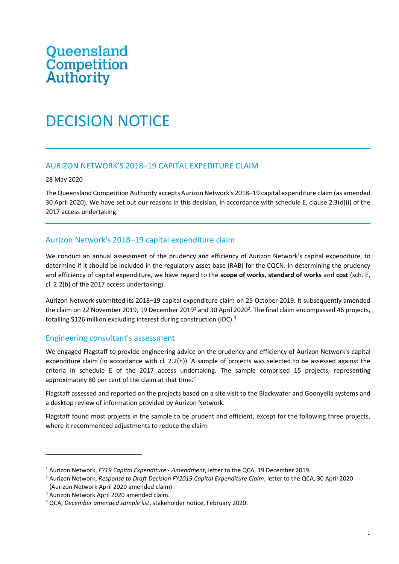# **Queensland**<br>Competition **Authority**

## DECISION NOTICE

#### AURIZON NETWORK'S 2018–19 CAPITAL EXPEDITURE CLAIM

28 May 2020

The Queensland Competition Authority accepts Aurizon Network's 2018–19 capital expenditure claim (as amended 30 April 2020). We have set out our reasons in this decision, in accordance with schedule E, clause 2.3(d)(i) of the 2017 access undertaking.

### Aurizon Network's 2018–19 capital expenditure claim

We conduct an annual assessment of the prudency and efficiency of Aurizon Network's capital expenditure, to determine if it should be included in the regulatory asset base (RAB) for the CQCN. In determining the prudency and efficiency of capital expenditure, we have regard to the **scope of works**, **standard of works** and **cost** (sch. E, cl. 2.2(b) of the 2017 access undertaking).

Aurizon Network submitted its 2018–19 capital expenditure claim on 25 October 2019. It subsequently amended the claim on 22 November 2019, 19 December 2019<sup>1</sup> and 30 April 2020<sup>2</sup>. The final claim encompassed 46 projects, totalling \$126 million excluding interest during construction (IDC).<sup>3</sup>

#### Engineering consultant's assessment

We engaged Flagstaff to provide engineering advice on the prudency and efficiency of Aurizon Network's capital expenditure claim (in accordance with cl. 2.2(h)). A sample of projects was selected to be assessed against the criteria in schedule E of the 2017 access undertaking. The sample comprised 15 projects, representing approximately 80 per cent of the claim at that time. 4

Flagstaff assessed and reported on the projects based on a site visit to the Blackwater and Goonyella systems and a desktop review of information provided by Aurizon Network.

Flagstaff found most projects in the sample to be prudent and efficient, except for the following three projects, where it recommended adjustments to reduce the claim:

<sup>1</sup> Aurizon Network, *FY19 Capital Expenditure - Amendment*, letter to the QCA, 19 December 2019.

<sup>2</sup> Aurizon Network, *Response to Draft Decision FY2019 Capital Expenditure Claim*, letter to the QCA, 30 April 2020 (Aurizon Network April 2020 amended claim).

<sup>3</sup> Aurizon Network April 2020 amended claim.

<sup>4</sup> QCA, *December amended sample list*, stakeholder notice, February 2020.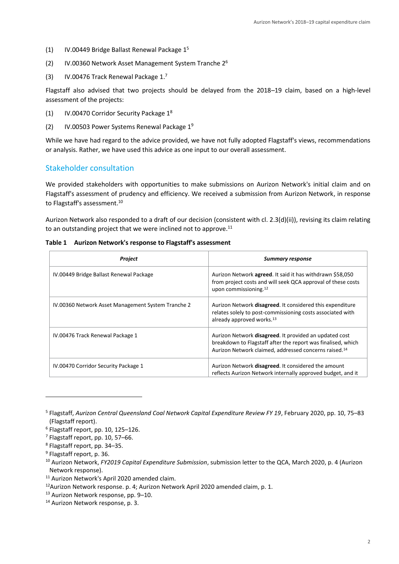- (1) IV.00449 Bridge Ballast Renewal Package 1<sup>5</sup>
- (2) IV.00360 Network Asset Management System Tranche 2<sup>6</sup>
- (3) IV.00476 Track Renewal Package 1. 7

Flagstaff also advised that two projects should be delayed from the 2018–19 claim, based on a high-level assessment of the projects:

- (1) IV.00470 Corridor Security Package 1<sup>8</sup>
- (2) IV.00503 Power Systems Renewal Package 1<sup>9</sup>

While we have had regard to the advice provided, we have not fully adopted Flagstaff's views, recommendations or analysis. Rather, we have used this advice as one input to our overall assessment.

#### Stakeholder consultation

We provided stakeholders with opportunities to make submissions on Aurizon Network's initial claim and on Flagstaff's assessment of prudency and efficiency. We received a submission from Aurizon Network, in response to Flagstaff's assessment. 10

Aurizon Network also responded to a draft of our decision (consistent with cl. 2.3(d)(ii)), revising its claim relating to an outstanding project that we were inclined not to approve. $11$ 

| Project                                            | <b>Summary response</b>                                                                                                                                                                             |
|----------------------------------------------------|-----------------------------------------------------------------------------------------------------------------------------------------------------------------------------------------------------|
| IV.00449 Bridge Ballast Renewal Package            | Aurizon Network agreed. It said it has withdrawn \$58,050<br>from project costs and will seek QCA approval of these costs<br>upon commissioning. $12$                                               |
| IV.00360 Network Asset Management System Tranche 2 | Aurizon Network <b>disagreed</b> . It considered this expenditure<br>relates solely to post-commissioning costs associated with<br>already approved works. <sup>13</sup>                            |
| IV.00476 Track Renewal Package 1                   | Aurizon Network <b>disagreed</b> . It provided an updated cost<br>breakdown to Flagstaff after the report was finalised, which<br>Aurizon Network claimed, addressed concerns raised. <sup>14</sup> |
| IV.00470 Corridor Security Package 1               | Aurizon Network <b>disagreed</b> . It considered the amount<br>reflects Aurizon Network internally approved budget, and it                                                                          |

#### **Table 1 Aurizon Network's response to Flagstaff's assessment**

<sup>5</sup> Flagstaff, *Aurizon Central Queensland Coal Network Capital Expenditure Review FY 19*, February 2020, pp. 10, 75–83 (Flagstaff report).

<sup>6</sup> Flagstaff report, pp. 10, 125–126.

 $7$  Flagstaff report, pp. 10, 57–66.

<sup>8</sup> Flagstaff report, pp. 34–35.

<sup>&</sup>lt;sup>9</sup> Flagstaff report, p. 36.

<sup>10</sup> Aurizon Network, *FY2019 Capital Expenditure Submission*, submission letter to the QCA, March 2020, p. 4 (Aurizon Network response).

<sup>&</sup>lt;sup>11</sup> Aurizon Network's April 2020 amended claim.

<sup>&</sup>lt;sup>12</sup> Aurizon Network response. p. 4; Aurizon Network April 2020 amended claim, p. 1.

<sup>13</sup> Aurizon Network response, pp. 9–10.

<sup>14</sup> Aurizon Network response, p. 3.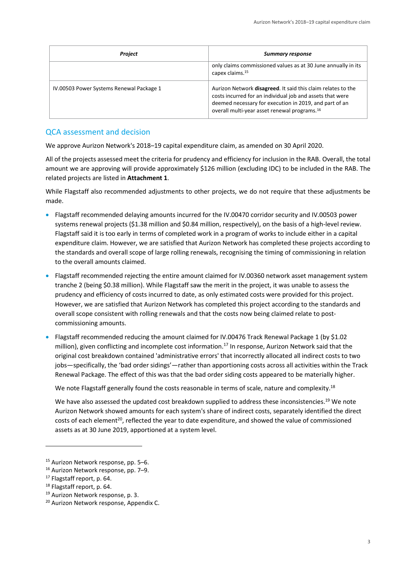| <b>Project</b>                           | <b>Summary response</b>                                                                                                                                                                                                                         |
|------------------------------------------|-------------------------------------------------------------------------------------------------------------------------------------------------------------------------------------------------------------------------------------------------|
|                                          | only claims commissioned values as at 30 June annually in its<br>capex claims. <sup>15</sup>                                                                                                                                                    |
| IV.00503 Power Systems Renewal Package 1 | Aurizon Network disagreed. It said this claim relates to the<br>costs incurred for an individual job and assets that were<br>deemed necessary for execution in 2019, and part of an<br>overall multi-year asset renewal programs. <sup>16</sup> |

#### QCA assessment and decision

We approve Aurizon Network's 2018–19 capital expenditure claim, as amended on 30 April 2020.

All of the projects assessed meet the criteria for prudency and efficiency for inclusion in the RAB. Overall, the total amount we are approving will provide approximately \$126 million (excluding IDC) to be included in the RAB. The related projects are listed in **Attachment 1**.

While Flagstaff also recommended adjustments to other projects, we do not require that these adjustments be made.

- Flagstaff recommended delaying amounts incurred for the IV.00470 corridor security and IV.00503 power systems renewal projects (\$1.38 million and \$0.84 million, respectively), on the basis of a high-level review. Flagstaff said it is too early in terms of completed work in a program of works to include either in a capital expenditure claim. However, we are satisfied that Aurizon Network has completed these projects according to the standards and overall scope of large rolling renewals, recognising the timing of commissioning in relation to the overall amounts claimed.
- Flagstaff recommended rejecting the entire amount claimed for IV.00360 network asset management system tranche 2 (being \$0.38 million). While Flagstaff saw the merit in the project, it was unable to assess the prudency and efficiency of costs incurred to date, as only estimated costs were provided for this project. However, we are satisfied that Aurizon Network has completed this project according to the standards and overall scope consistent with rolling renewals and that the costs now being claimed relate to postcommissioning amounts.
- Flagstaff recommended reducing the amount claimed for IV.00476 Track Renewal Package 1 (by \$1.02 million), given conflicting and incomplete cost information. <sup>17</sup> In response, Aurizon Network said that the original cost breakdown contained 'administrative errors' that incorrectly allocated all indirect costs to two jobs-specifically, the 'bad order sidings'-rather than apportioning costs across all activities within the Track Renewal Package. The effect of this was that the bad order siding costs appeared to be materially higher.

We note Flagstaff generally found the costs reasonable in terms of scale, nature and complexity.<sup>18</sup>

We have also assessed the updated cost breakdown supplied to address these inconsistencies.<sup>19</sup> We note Aurizon Network showed amounts for each system's share of indirect costs, separately identified the direct costs of each element<sup>20</sup>, reflected the year to date expenditure, and showed the value of commissioned assets as at 30 June 2019, apportioned at a system level.

<sup>15</sup> Aurizon Network response, pp. 5–6.

<sup>16</sup> Aurizon Network response, pp. 7–9.

<sup>&</sup>lt;sup>17</sup> Flagstaff report, p. 64.

<sup>18</sup> Flagstaff report, p. 64.

<sup>19</sup> Aurizon Network response, p. 3.

<sup>&</sup>lt;sup>20</sup> Aurizon Network response, Appendix C.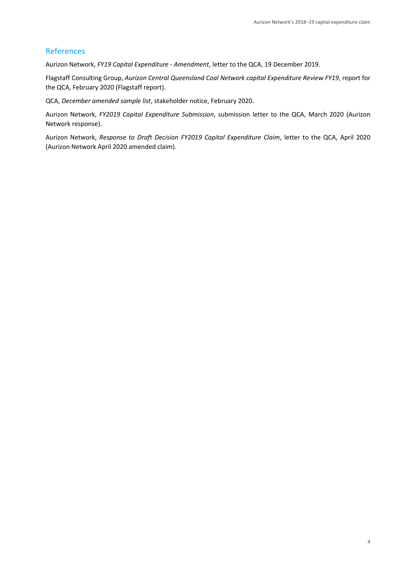#### References

Aurizon Network, *FY19 Capital Expenditure - Amendment*, letter to the QCA, 19 December 2019.

Flagstaff Consulting Group, *Aurizon Central Queensland Coal Network capital Expenditure Review FY19*, report for the QCA, February 2020 (Flagstaff report).

QCA, *December amended sample list*, stakeholder notice, February 2020.

Aurizon Network, *FY2019 Capital Expenditure Submission*, submission letter to the QCA, March 2020 (Aurizon Network response).

Aurizon Network, *Response to Draft Decision FY2019 Capital Expenditure Claim*, letter to the QCA, April 2020 (Aurizon Network April 2020 amended claim).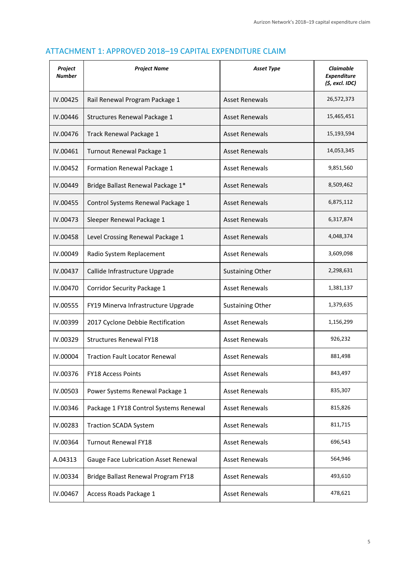| Project<br><b>Number</b> | <b>Project Name</b>                    | <b>Asset Type</b>       | <b>Claimable</b><br><b>Expenditure</b><br>$(5, \text{excl. }$ IDC) |
|--------------------------|----------------------------------------|-------------------------|--------------------------------------------------------------------|
| IV.00425                 | Rail Renewal Program Package 1         | <b>Asset Renewals</b>   | 26,572,373                                                         |
| IV.00446                 | Structures Renewal Package 1           | <b>Asset Renewals</b>   | 15,465,451                                                         |
| IV.00476                 | Track Renewal Package 1                | <b>Asset Renewals</b>   | 15,193,594                                                         |
| IV.00461                 | Turnout Renewal Package 1              | <b>Asset Renewals</b>   | 14,053,345                                                         |
| IV.00452                 | Formation Renewal Package 1            | <b>Asset Renewals</b>   | 9,851,560                                                          |
| IV.00449                 | Bridge Ballast Renewal Package 1*      | <b>Asset Renewals</b>   | 8,509,462                                                          |
| IV.00455                 | Control Systems Renewal Package 1      | <b>Asset Renewals</b>   | 6,875,112                                                          |
| IV.00473                 | Sleeper Renewal Package 1              | <b>Asset Renewals</b>   | 6,317,874                                                          |
| IV.00458                 | Level Crossing Renewal Package 1       | <b>Asset Renewals</b>   | 4,048,374                                                          |
| IV.00049                 | Radio System Replacement               | <b>Asset Renewals</b>   | 3,609,098                                                          |
| IV.00437                 | Callide Infrastructure Upgrade         | <b>Sustaining Other</b> | 2,298,631                                                          |
| IV.00470                 | Corridor Security Package 1            | <b>Asset Renewals</b>   | 1,381,137                                                          |
| IV.00555                 | FY19 Minerva Infrastructure Upgrade    | <b>Sustaining Other</b> | 1,379,635                                                          |
| IV.00399                 | 2017 Cyclone Debbie Rectification      | <b>Asset Renewals</b>   | 1,156,299                                                          |
| IV.00329                 | <b>Structures Renewal FY18</b>         | <b>Asset Renewals</b>   | 926,232                                                            |
| IV.00004                 | <b>Traction Fault Locator Renewal</b>  | <b>Asset Renewals</b>   | 881,498                                                            |
| IV.00376                 | <b>FY18 Access Points</b>              | <b>Asset Renewals</b>   | 843,497                                                            |
| IV.00503                 | Power Systems Renewal Package 1        | <b>Asset Renewals</b>   | 835,307                                                            |
| IV.00346                 | Package 1 FY18 Control Systems Renewal | <b>Asset Renewals</b>   | 815,826                                                            |
| IV.00283                 | <b>Traction SCADA System</b>           | <b>Asset Renewals</b>   | 811,715                                                            |
| IV.00364                 | <b>Turnout Renewal FY18</b>            | <b>Asset Renewals</b>   | 696,543                                                            |
| A.04313                  | Gauge Face Lubrication Asset Renewal   | <b>Asset Renewals</b>   | 564,946                                                            |
| IV.00334                 | Bridge Ballast Renewal Program FY18    | <b>Asset Renewals</b>   | 493,610                                                            |
| IV.00467                 | Access Roads Package 1                 | <b>Asset Renewals</b>   | 478,621                                                            |

## ATTACHMENT 1: APPROVED 2018–19 CAPITAL EXPENDITURE CLAIM